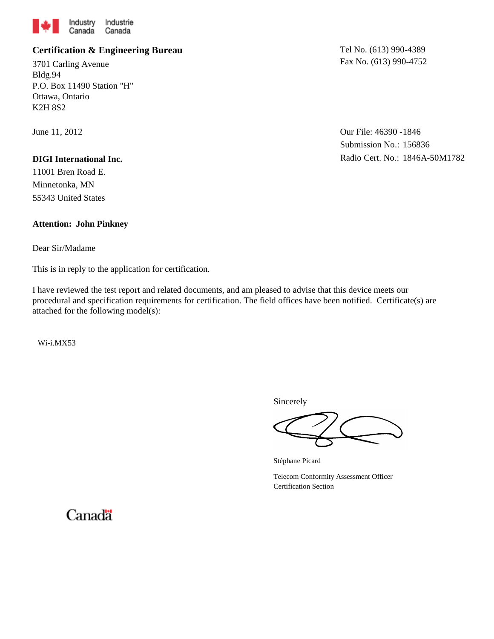

## **Certification & Engineering Bureau**

3701 Carling Avenue Bldg.94 P.O. Box 11490 Station "H" Ottawa, Ontario K2H 8S2

June 11, 2012

#### **DIGI International Inc.**

11001 Bren Road E. Minnetonka, MN 55343 United States

### **Attention: John Pinkney**

Dear Sir/Madame

This is in reply to the application for certification.

I have reviewed the test report and related documents, and am pleased to advise that this device meets our procedural and specification requirements for certification. The field offices have been notified. Certificate(s) are attached for the following model(s):

Wi-i.MX53

Tel No. (613) 990-4389 Fax No. (613) 990-4752

Our File: 46390 - 1846 Submission No.: 156836 Radio Cert. No.: 1846A-50M1782

Sincerely

Stéphane Picard

Telecom Conformity Assessment Officer Certification Section

Canadä